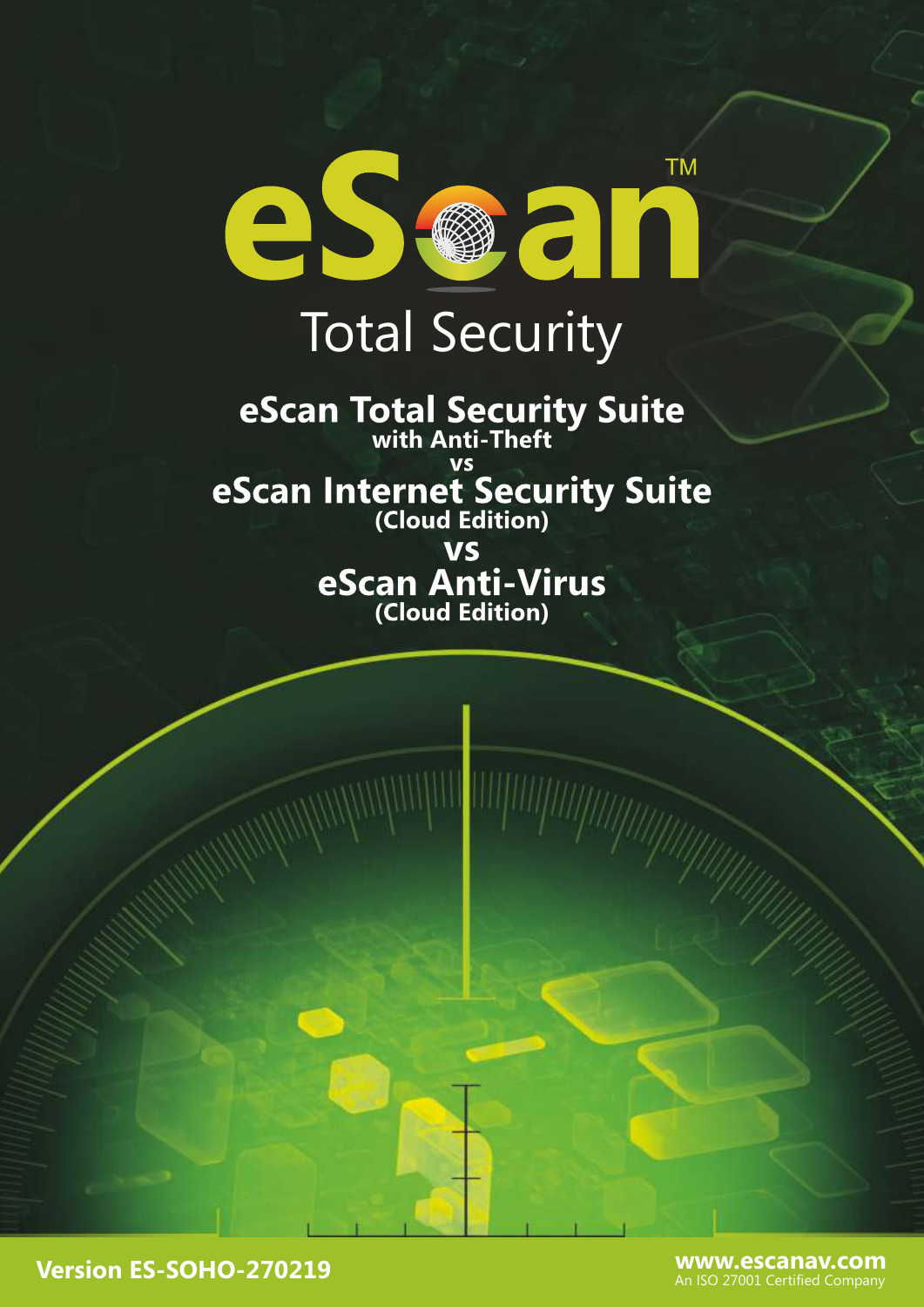

## Total Security

**eScan Total Security Suite with Anti-Theft vs** 

**eScan Internet Security Suite (Cloud Edition)**

**vs eScan Anti-Virus (Cloud Edition)**

**Version ES-SOHO-270219**

**www.escanav.com** An ISO 27001 Certified Company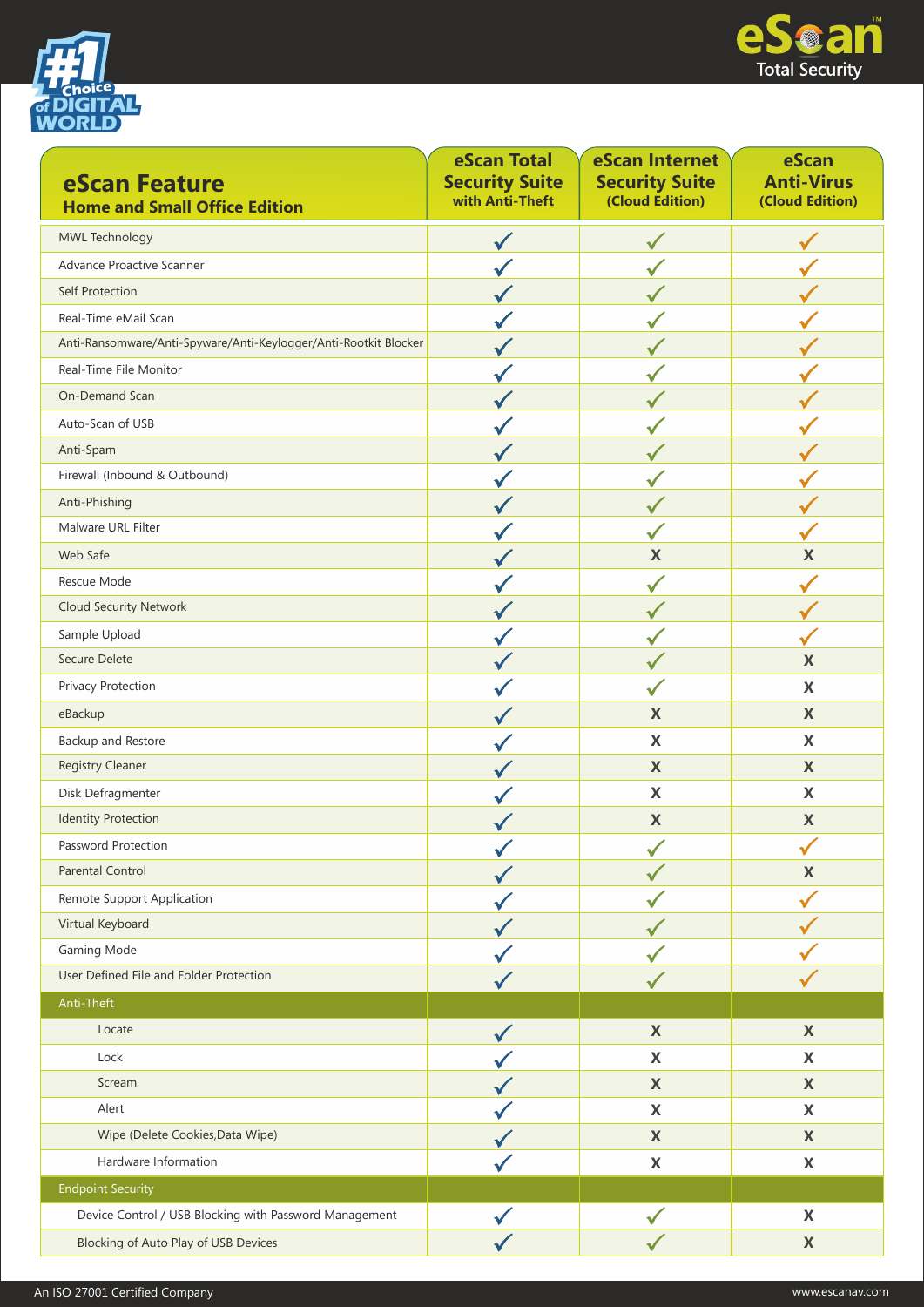



| eScan Feature<br><b>Home and Small Office Edition</b>            | eScan Total<br><b>Security Suite</b><br>with Anti-Theft | eScan Internet<br><b>Security Suite</b><br>(Cloud Edition) | eScan<br><b>Anti-Virus</b><br>(Cloud Edition) |
|------------------------------------------------------------------|---------------------------------------------------------|------------------------------------------------------------|-----------------------------------------------|
| MWL Technology                                                   | v                                                       |                                                            |                                               |
| Advance Proactive Scanner                                        |                                                         |                                                            |                                               |
| Self Protection                                                  |                                                         |                                                            |                                               |
| Real-Time eMail Scan                                             |                                                         |                                                            |                                               |
| Anti-Ransomware/Anti-Spyware/Anti-Keylogger/Anti-Rootkit Blocker |                                                         |                                                            |                                               |
| Real-Time File Monitor                                           |                                                         |                                                            |                                               |
| On-Demand Scan                                                   |                                                         |                                                            |                                               |
| Auto-Scan of USB                                                 |                                                         |                                                            |                                               |
| Anti-Spam                                                        |                                                         |                                                            |                                               |
| Firewall (Inbound & Outbound)                                    |                                                         |                                                            |                                               |
| Anti-Phishing                                                    |                                                         |                                                            |                                               |
| Malware URL Filter                                               |                                                         |                                                            |                                               |
| Web Safe                                                         |                                                         | $\mathbf X$                                                | X                                             |
| Rescue Mode                                                      |                                                         |                                                            |                                               |
| <b>Cloud Security Network</b>                                    |                                                         |                                                            |                                               |
| Sample Upload                                                    |                                                         |                                                            |                                               |
| Secure Delete                                                    |                                                         |                                                            | $\boldsymbol{\mathsf{X}}$                     |
| Privacy Protection                                               |                                                         |                                                            | $\mathbf x$                                   |
| eBackup                                                          |                                                         | $\boldsymbol{\mathsf{X}}$                                  | $\boldsymbol{\mathsf{X}}$                     |
| Backup and Restore                                               |                                                         | $\mathbf x$                                                | $\mathbf x$                                   |
| <b>Registry Cleaner</b>                                          |                                                         | $\mathbf{X}$                                               | $\mathbf x$                                   |
| Disk Defragmenter                                                |                                                         | $\boldsymbol{\mathsf{X}}$                                  | $\boldsymbol{\mathsf{X}}$                     |
| <b>Identity Protection</b>                                       |                                                         | $\pmb{\mathsf{X}}$                                         | $\boldsymbol{\mathsf{X}}$                     |
| Password Protection                                              |                                                         |                                                            | ╭                                             |
| <b>Parental Control</b>                                          |                                                         |                                                            | $\boldsymbol{\mathsf{X}}$                     |
| Remote Support Application                                       |                                                         |                                                            |                                               |
| Virtual Keyboard                                                 |                                                         |                                                            |                                               |
| Gaming Mode                                                      |                                                         |                                                            |                                               |
| User Defined File and Folder Protection                          |                                                         |                                                            |                                               |
| Anti-Theft                                                       |                                                         |                                                            |                                               |
| Locate                                                           |                                                         | $\boldsymbol{\mathsf{X}}$                                  | $\mathbf X$                                   |
| Lock                                                             |                                                         | $\boldsymbol{\mathsf{X}}$                                  | X                                             |
| Scream                                                           |                                                         | $\boldsymbol{\mathsf{X}}$                                  | $\mathbf X$                                   |
| Alert                                                            |                                                         | $\mathbf x$                                                | X                                             |
| Wipe (Delete Cookies, Data Wipe)                                 |                                                         | $\boldsymbol{\mathsf{X}}$                                  | X                                             |
| Hardware Information                                             |                                                         | X                                                          | X                                             |
| <b>Endpoint Security</b>                                         |                                                         |                                                            |                                               |
| Device Control / USB Blocking with Password Management           |                                                         |                                                            | $\mathbf X$                                   |
| <b>Blocking of Auto Play of USB Devices</b>                      |                                                         |                                                            | $\mathbf X$                                   |